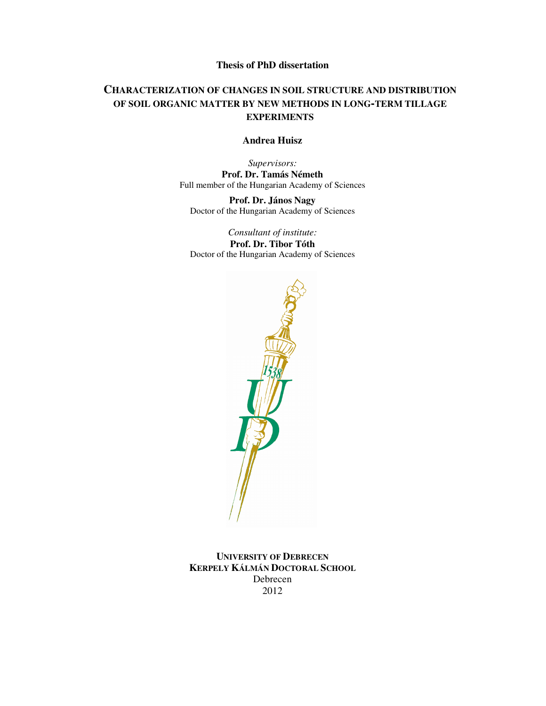# **Thesis of PhD dissertation**

# **CHARACTERIZATION OF CHANGES IN SOIL STRUCTURE AND DISTRIBUTION OF SOIL ORGANIC MATTER BY NEW METHODS IN LONG-TERM TILLAGE EXPERIMENTS**

### **Andrea Huisz**

*Supervisors:*  **Prof. Dr. Tamás Németh**  Full member of the Hungarian Academy of Sciences

**Prof. Dr. János Nagy**  Doctor of the Hungarian Academy of Sciences

*Consultant of institute:*  **Prof. Dr. Tibor Tóth**  Doctor of the Hungarian Academy of Sciences



**UNIVERSITY OF DEBRECEN KERPELY KÁLMÁN DOCTORAL SCHOOL**  Debrecen 2012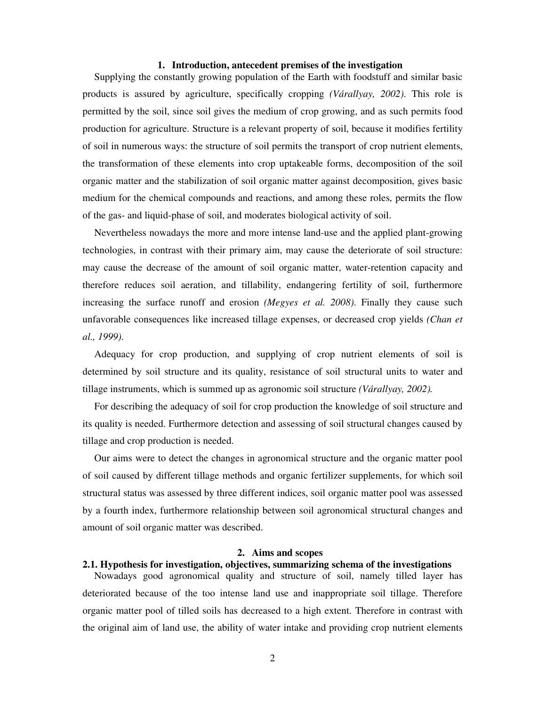#### **1. Introduction, antecedent premises of the investigation**

Supplying the constantly growing population of the Earth with foodstuff and similar basic products is assured by agriculture, specifically cropping *(Várallyay, 2002)*. This role is permitted by the soil, since soil gives the medium of crop growing, and as such permits food production for agriculture. Structure is a relevant property of soil, because it modifies fertility of soil in numerous ways: the structure of soil permits the transport of crop nutrient elements, the transformation of these elements into crop uptakeable forms, decomposition of the soil organic matter and the stabilization of soil organic matter against decomposition, gives basic medium for the chemical compounds and reactions, and among these roles, permits the flow of the gas- and liquid-phase of soil, and moderates biological activity of soil.

Nevertheless nowadays the more and more intense land-use and the applied plant-growing technologies, in contrast with their primary aim, may cause the deteriorate of soil structure: may cause the decrease of the amount of soil organic matter, water-retention capacity and therefore reduces soil aeration, and tillability, endangering fertility of soil, furthermore increasing the surface runoff and erosion *(Megyes et al. 2008)*. Finally they cause such unfavorable consequences like increased tillage expenses, or decreased crop yields *(Chan et al., 1999)*.

Adequacy for crop production, and supplying of crop nutrient elements of soil is determined by soil structure and its quality, resistance of soil structural units to water and tillage instruments, which is summed up as agronomic soil structure *(Várallyay, 2002).* 

For describing the adequacy of soil for crop production the knowledge of soil structure and its quality is needed. Furthermore detection and assessing of soil structural changes caused by tillage and crop production is needed.

Our aims were to detect the changes in agronomical structure and the organic matter pool of soil caused by different tillage methods and organic fertilizer supplements, for which soil structural status was assessed by three different indices, soil organic matter pool was assessed by a fourth index, furthermore relationship between soil agronomical structural changes and amount of soil organic matter was described.

#### **2. Aims and scopes**

# **2.1. Hypothesis for investigation, objectives, summarizing schema of the investigations**

Nowadays good agronomical quality and structure of soil, namely tilled layer has deteriorated because of the too intense land use and inappropriate soil tillage. Therefore organic matter pool of tilled soils has decreased to a high extent. Therefore in contrast with the original aim of land use, the ability of water intake and providing crop nutrient elements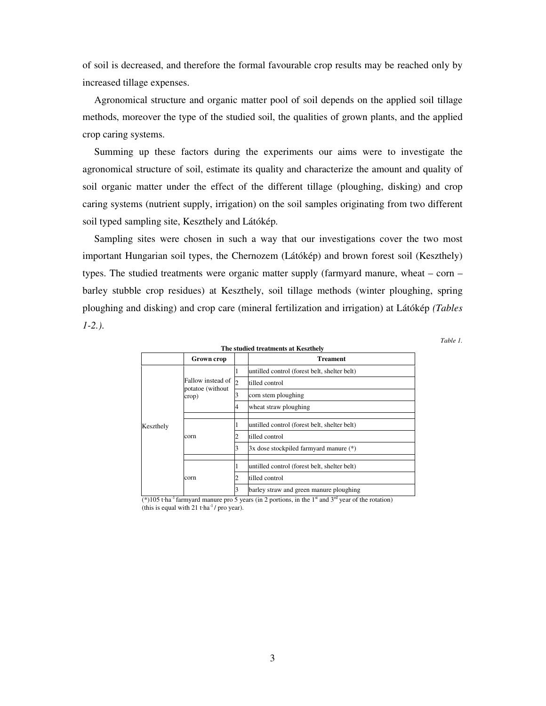of soil is decreased, and therefore the formal favourable crop results may be reached only by increased tillage expenses.

Agronomical structure and organic matter pool of soil depends on the applied soil tillage methods, moreover the type of the studied soil, the qualities of grown plants, and the applied crop caring systems.

Summing up these factors during the experiments our aims were to investigate the agronomical structure of soil, estimate its quality and characterize the amount and quality of soil organic matter under the effect of the different tillage (ploughing, disking) and crop caring systems (nutrient supply, irrigation) on the soil samples originating from two different soil typed sampling site, Keszthely and Látókép.

Sampling sites were chosen in such a way that our investigations cover the two most important Hungarian soil types, the Chernozem (Látókép) and brown forest soil (Keszthely) types. The studied treatments were organic matter supply (farmyard manure, wheat – corn – barley stubble crop residues) at Keszthely, soil tillage methods (winter ploughing, spring ploughing and disking) and crop care (mineral fertilization and irrigation) at Látókép *(Tables 1-2.)*.

*Table 1.* 

|           |                            |              | The studied treatments at Keszthely          |
|-----------|----------------------------|--------------|----------------------------------------------|
|           | Grown crop                 |              | <b>Treament</b>                              |
|           |                            |              | untilled control (forest belt, shelter belt) |
|           | Fallow instead of          | $\mathsf{D}$ | tilled control                               |
|           | potatoe (without)<br>crop) |              | corn stem ploughing                          |
|           |                            | 4            | wheat straw ploughing                        |
|           |                            |              |                                              |
| Keszthely |                            |              | untilled control (forest belt, shelter belt) |
|           | corn                       |              | tilled control                               |
|           |                            |              | 3x dose stockpiled farmyard manure (*)       |
|           |                            |              |                                              |
|           |                            |              | untilled control (forest belt, shelter belt) |
|           | corn                       |              | tilled control                               |
|           |                            |              | barley straw and green manure ploughing      |

(\*)105 t·ha<sup>-1</sup> farmyard manure pro 5 years (in 2 portions, in the 1<sup>st</sup> and 3<sup>rd</sup> year of the rotation) (this is equal with 21 t·ha<sup>-1</sup>/ pro year).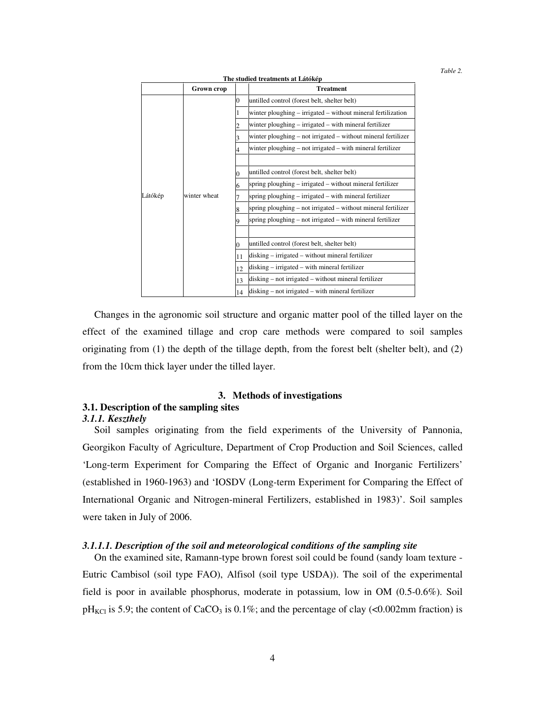*Table 2.* 

| The studied treatments at Látókép |                   |    |                                                               |  |
|-----------------------------------|-------------------|----|---------------------------------------------------------------|--|
|                                   | <b>Grown crop</b> |    | <b>Treatment</b>                                              |  |
|                                   |                   | 0  | untilled control (forest belt, shelter belt)                  |  |
|                                   |                   |    | winter ploughing – irrigated – without mineral fertilization  |  |
|                                   |                   |    | winter ploughing – irrigated – with mineral fertilizer        |  |
|                                   |                   |    | winter ploughing – not irrigated – without mineral fertilizer |  |
|                                   |                   |    | winter ploughing – not irrigated – with mineral fertilizer    |  |
|                                   |                   |    |                                                               |  |
|                                   |                   | 0  | untilled control (forest belt, shelter belt)                  |  |
|                                   |                   | 6  | spring ploughing – irrigated – without mineral fertilizer     |  |
| Látókép                           | winter wheat      |    | spring ploughing – irrigated – with mineral fertilizer        |  |
|                                   |                   | 8  | spring ploughing – not irrigated – without mineral fertilizer |  |
|                                   |                   |    | spring ploughing – not irrigated – with mineral fertilizer    |  |
|                                   |                   |    |                                                               |  |
|                                   |                   |    | untilled control (forest belt, shelter belt)                  |  |
|                                   |                   | 11 | disking – irrigated – without mineral fertilizer              |  |
|                                   |                   | 12 | disking – irrigated – with mineral fertilizer                 |  |
|                                   |                   | 13 | disking – not irrigated – without mineral fertilizer          |  |
|                                   |                   | 14 | disking – not irrigated – with mineral fertilizer             |  |

Changes in the agronomic soil structure and organic matter pool of the tilled layer on the effect of the examined tillage and crop care methods were compared to soil samples originating from (1) the depth of the tillage depth, from the forest belt (shelter belt), and (2) from the 10cm thick layer under the tilled layer.

#### **3. Methods of investigations**

# **3.1. Description of the sampling sites**

#### *3.1.1. Keszthely*

Soil samples originating from the field experiments of the University of Pannonia, Georgikon Faculty of Agriculture, Department of Crop Production and Soil Sciences, called 'Long-term Experiment for Comparing the Effect of Organic and Inorganic Fertilizers' (established in 1960-1963) and 'IOSDV (Long-term Experiment for Comparing the Effect of International Organic and Nitrogen-mineral Fertilizers, established in 1983)'. Soil samples were taken in July of 2006.

#### *3.1.1.1. Description of the soil and meteorological conditions of the sampling site*

On the examined site, Ramann-type brown forest soil could be found (sandy loam texture - Eutric Cambisol (soil type FAO), Alfisol (soil type USDA)). The soil of the experimental field is poor in available phosphorus, moderate in potassium, low in OM (0.5-0.6%). Soil  $pH_{\text{KCl}}$  is 5.9; the content of CaCO<sub>3</sub> is 0.1%; and the percentage of clay (<0.002mm fraction) is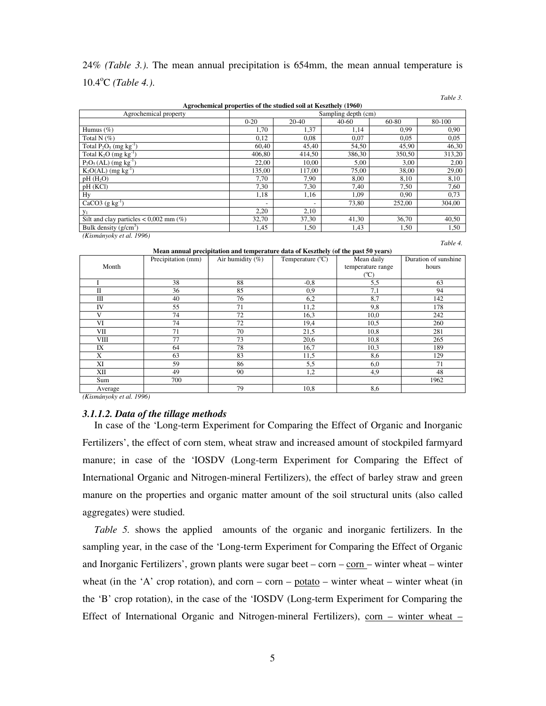# 24% *(Table 3.)*. The mean annual precipitation is 654mm, the mean annual temperature is 10.4<sup>o</sup>C *(Table 4.)*.

*Table 3.* 

*Table 4.* 

|                                          | Agrochemical properties of the studied soil at Keszthely (1960) |           |         |        |        |
|------------------------------------------|-----------------------------------------------------------------|-----------|---------|--------|--------|
| Agrochemical property                    | Sampling depth (cm)                                             |           |         |        |        |
|                                          | $0 - 20$                                                        | $20 - 40$ | $40-60$ | 60-80  | 80-100 |
| Humus $(\%)$                             | 1,70                                                            | 1,37      | 1,14    | 0.99   | 0,90   |
| Total N $(\%)$                           | 0.12                                                            | 0.08      | 0,07    | 0.05   | 0,05   |
| Total $P_2O_5$ (mg kg <sup>-1</sup> )    | 60.40                                                           | 45,40     | 54,50   | 45,90  | 46,30  |
| Total $K_2O$ (mg $kg^{-1}$ )             | 406,80                                                          | 414,50    | 386,30  | 350,50 | 313,20 |
| $P_2O_5(AL)$ (mg kg <sup>-1</sup> )      | 22,00                                                           | 10,00     | 5,00    | 3,00   | 2,00   |
| $K_2O(AL)$ (mg kg <sup>-1</sup> )        | 135,00                                                          | 117,00    | 75,00   | 38,00  | 29,00  |
| pH(H <sub>2</sub> O)                     | 7,70                                                            | 7,90      | 8,00    | 8,10   | 8,10   |
| pH (KCl)                                 | 7,30                                                            | 7,30      | 7.40    | 7,50   | 7,60   |
| Hy                                       | 1,18                                                            | 1,16      | 1,09    | 0.90   | 0,73   |
| CaCO3 $(g \ kg^{-1})$                    | $\overline{\phantom{a}}$                                        |           | 73,80   | 252,00 | 304,00 |
| V <sub>1</sub>                           | 2,20                                                            | 2,10      |         |        |        |
| Silt and clay particles $< 0.002$ mm (%) | 32,70                                                           | 37,30     | 41,30   | 36,70  | 40,50  |
| Bulk density $(g/cm^3)$                  | 1,45                                                            | 1,50      | 1,43    | 1,50   | 1,50   |
| (Kismányoky et al. 1996)                 |                                                                 |           |         |        |        |

**Mean annual precipitation and temperature data of Keszthely (of the past 50 years)** 

|             | Precipitation (mm) | Air humidity $(\%)$ | Temperature $(^{\circ}C)$ | Mean daily        | Duration of sunshine |
|-------------|--------------------|---------------------|---------------------------|-------------------|----------------------|
| Month       |                    |                     |                           | temperature range | hours                |
|             |                    |                     |                           | (°C)              |                      |
|             | 38                 | 88                  | $-0.8$                    | 5,5               | 63                   |
| П           | 36                 | 85                  | 0,9                       | 7,1               | 94                   |
| Ш           | 40                 | 76                  | 6,2                       | 8,7               | 142                  |
| IV          | 55                 | 71                  | 11,2                      | 9,8               | 178                  |
| V           | 74                 | 72                  | 16,3                      | 10,0              | 242                  |
| VI          | 74                 | 72                  | 19,4                      | 10,5              | 260                  |
| VII         | 71                 | 70                  | 21,5                      | 10,8              | 281                  |
| <b>VIII</b> | 77                 | 73                  | 20,6                      | 10,8              | 265                  |
| IX          | 64                 | 78                  | 16,7                      | 10,3              | 189                  |
| X           | 63                 | 83                  | 11,5                      | 8,6               | 129                  |
| XI          | 59                 | 86                  | 5,5                       | 6,0               | 71                   |
| XII         | 49                 | 90                  | 1,2                       | 4,9               | 48                   |
| Sum         | 700                |                     |                           |                   | 1962                 |
| Average     |                    | 79                  | 10,8                      | 8,6               |                      |

*(Kismányoky et al. 1996)* 

#### *3.1.1.2. Data of the tillage methods*

In case of the 'Long-term Experiment for Comparing the Effect of Organic and Inorganic Fertilizers', the effect of corn stem, wheat straw and increased amount of stockpiled farmyard manure; in case of the 'IOSDV (Long-term Experiment for Comparing the Effect of International Organic and Nitrogen-mineral Fertilizers), the effect of barley straw and green manure on the properties and organic matter amount of the soil structural units (also called aggregates) were studied.

*Table 5.* shows the applied amounts of the organic and inorganic fertilizers. In the sampling year, in the case of the 'Long-term Experiment for Comparing the Effect of Organic and Inorganic Fertilizers', grown plants were sugar beet – corn – corn – winter wheat – winter wheat (in the 'A' crop rotation), and corn – corn –  $potato$  – winter wheat – winter wheat (in</u> the 'B' crop rotation), in the case of the 'IOSDV (Long-term Experiment for Comparing the Effect of International Organic and Nitrogen-mineral Fertilizers), corn – winter wheat –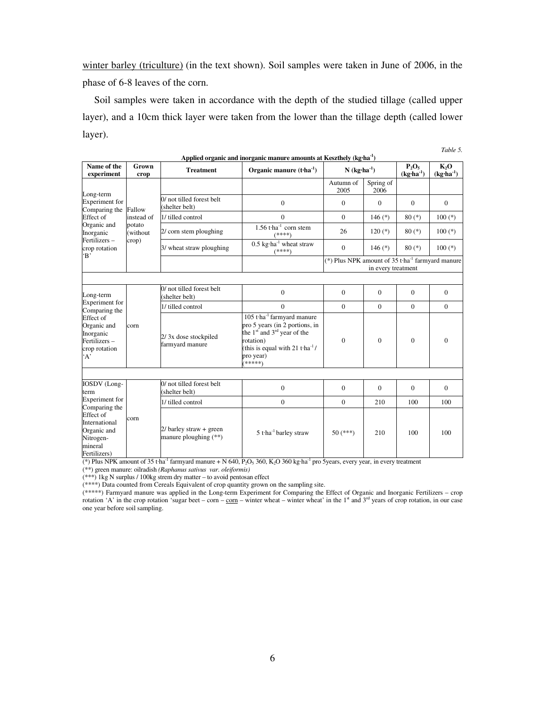winter barley (triculture) (in the text shown). Soil samples were taken in June of 2006, in the phase of 6-8 leaves of the corn.

Soil samples were taken in accordance with the depth of the studied tillage (called upper layer), and a 10cm thick layer were taken from the lower than the tillage depth (called lower layer).

| Name of the<br>experiment                                                                                            | Grown<br>crop      | <b>Treatment</b>                                   | Organic manure $(t-1)$                                                                                                                                                                                         | $N$ (kg·ha <sup>-1</sup> )                                     |                    | $P_2O_5$<br>$(kg·ha-1)$ | $K_2O$<br>$(kg·ha-1)$ |
|----------------------------------------------------------------------------------------------------------------------|--------------------|----------------------------------------------------|----------------------------------------------------------------------------------------------------------------------------------------------------------------------------------------------------------------|----------------------------------------------------------------|--------------------|-------------------------|-----------------------|
| Long-term                                                                                                            |                    |                                                    |                                                                                                                                                                                                                | Autumn of<br>2005                                              | Spring of<br>2006  |                         |                       |
| <b>Experiment</b> for<br>Comparing the                                                                               | Fallow             | 0/ not tilled forest belt<br>(shelter belt)        | $\Omega$                                                                                                                                                                                                       | $\Omega$                                                       | $\Omega$           | $\theta$                | $\theta$              |
| Effect of                                                                                                            | instead of         | 1/ tilled control                                  | $\mathbf{0}$                                                                                                                                                                                                   | $\Omega$                                                       | 146 $(*)$          | $80(*)$                 | $100$ (*)             |
| Organic and<br>Inorganic                                                                                             | potato<br>(without | 2/ corn stem ploughing                             | $1.56$ t·ha <sup>-1</sup> corn stem<br>(****)                                                                                                                                                                  | 26                                                             | $120(*)$           | $80(*)$                 | $100$ $(*)$           |
| Fertilizers-<br>crop rotation<br>$\cdot$ B                                                                           | crop)              | 3/ wheat straw ploughing                           | $0.5 \text{ kg} \cdot \text{ha}^{-1}$ wheat straw<br>$(****)$                                                                                                                                                  | $\mathbf{0}$                                                   | 146 $(*)$          | $80(*)$                 | $100$ (*)             |
|                                                                                                                      |                    |                                                    |                                                                                                                                                                                                                | (*) Plus NPK amount of $35$ t·ha <sup>-1</sup> farmyard manure | in every treatment |                         |                       |
|                                                                                                                      |                    |                                                    |                                                                                                                                                                                                                |                                                                |                    |                         |                       |
| Long-term                                                                                                            | corn               | 0/ not tilled forest belt<br>(shelter belt)        | $\mathbf{0}$                                                                                                                                                                                                   | $\Omega$                                                       | $\mathbf{0}$       | $\Omega$                | $\mathbf{0}$          |
| Experiment for<br>Comparing the                                                                                      |                    | 1/ tilled control                                  | $\Omega$                                                                                                                                                                                                       | $\Omega$                                                       | $\Omega$           | $\Omega$                | $\Omega$              |
| Effect of<br>Organic and<br>Inorganic<br>Fertilizers-<br>crop rotation<br>A                                          |                    | 2/3x dose stockpiled<br>farmyard manure            | $105$ t·ha <sup>-1</sup> farmyard manure<br>pro 5 years (in 2 portions, in<br>the $1st$ and $3rd$ year of the<br>rotation)<br>(this is equal with 21 t $\cdot$ ha <sup>-1</sup> /<br>pro year)<br>.<br>(*****) | $\theta$                                                       | $\Omega$           | $\Omega$                | $\Omega$              |
|                                                                                                                      |                    |                                                    |                                                                                                                                                                                                                |                                                                |                    |                         |                       |
| IOSDV (Long-<br>term                                                                                                 |                    | 0/ not tilled forest belt<br>(shelter belt)        | $\Omega$                                                                                                                                                                                                       | $\theta$                                                       | $\Omega$           | $\theta$                | $\Omega$              |
| Experiment for<br>Comparing the<br>Effect of<br>International<br>Organic and<br>Nitrogen-<br>mineral<br>Fertilizers) |                    | 1/ tilled control                                  | $\mathbf{0}$                                                                                                                                                                                                   | $\theta$                                                       | 210                | 100                     | 100                   |
|                                                                                                                      | corn               | $2/$ barley straw + green<br>manure ploughing (**) | $5$ t·ha <sup>-1</sup> barley straw                                                                                                                                                                            | $50$ (***)                                                     | 210                | 100                     | 100                   |

**Applied organic and inorganic manure amounts at Keszthely (kg**·**ha-1)** 

*Table 5.* 

(\*) Plus NPK amount of 35 t·ha<sup>-1</sup> farmyard manure + N 640, P<sub>2</sub>O<sub>5</sub> 360, K<sub>2</sub>O 360 kg·ha<sup>-1</sup> pro 5years, every year, in every treatment

(\*\*) green manure: oilradish *(Raphanus sativus var. oleiformis)*

(\*\*\*) 1kg N surplus / 100kg strem dry matter – to avoid pentosan effect

(\*\*\*\*) Data counted from Cereals Equivalent of crop quantity grown on the sampling site.

(\*\*\*\*\*) Farmyard manure was applied in the Long-term Experiment for Comparing the Effect of Organic and Inorganic Fertilizers – crop rotation 'A' in the crop rotation 'sugar beet – corn – corn – winter wheat – winter wheat' in the 1<sup>st</sup> and 3<sup>rd</sup> years of crop rotation, in our case one year before soil sampling.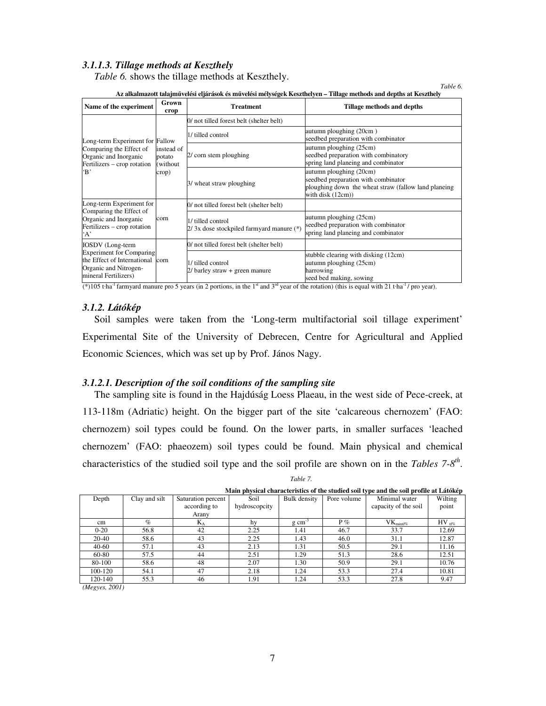## *3.1.1.3. Tillage methods at Keszthely*

*Table 6.* shows the tillage methods at Keszthely.

| Name of the experiment                                                                                          | Grown<br>crop                              | <b>Treatment</b>                                              | Tillage methods and depths                                                                                                                  |
|-----------------------------------------------------------------------------------------------------------------|--------------------------------------------|---------------------------------------------------------------|---------------------------------------------------------------------------------------------------------------------------------------------|
|                                                                                                                 |                                            | 0/ not tilled forest belt (shelter belt)                      |                                                                                                                                             |
| Long-term Experiment for Fallow                                                                                 |                                            | 1/ tilled control                                             | autumn ploughing (20cm)<br>seedbed preparation with combinator                                                                              |
| Comparing the Effect of<br>Organic and Inorganic<br>Fertilizers – crop rotation                                 | instead of<br>potato<br>(without)<br>crop) | 2/ corn stem ploughing                                        | autumn ploughing (25cm)<br>seedbed preparation with combinatory<br>spring land planeing and combinator                                      |
| $\mathbf{B}$                                                                                                    |                                            | 3/ wheat straw ploughing                                      | autumn ploughing (20cm)<br>seedbed preparation with combinator<br>ploughing down the wheat straw (fallow land planeing<br>with disk (12cm)) |
| Long-term Experiment for                                                                                        |                                            | 0/ not tilled forest belt (shelter belt)                      |                                                                                                                                             |
| Comparing the Effect of<br>Organic and Inorganic<br>Fertilizers – crop rotation<br>A                            | corn                                       | 1/ tilled control<br>2/3x dose stockpiled farmyard manure (*) | autumn ploughing (25cm)<br>seedbed preparation with combinator<br>spring land planeing and combinator                                       |
| <b>IOSDV</b> (Long-term                                                                                         |                                            | 0/ not tilled forest belt (shelter belt)                      |                                                                                                                                             |
| <b>Experiment for Comparing</b><br>the Effect of International<br>Organic and Nitrogen-<br>mineral Fertilizers) | corn                                       | 1/ tilled control<br>2/ barley straw + green manure           | stubble clearing with disking (12cm)<br>autumn ploughing (25cm)<br>harrowing<br>seed bed making, sowing                                     |

**Az alkalmazott talajm**ű**velési eljárások és m**ű**velési mélységek Keszthelyen – Tillage methods and depths at Keszthely** 

*Table 6.* 

(\*)105 t·ha<sup>-1</sup> farmyard manure pro 5 years (in 2 portions, in the 1<sup>st</sup> and 3<sup>rd</sup> year of the rotation) (this is equal with 21 t·ha<sup>-1</sup>/ pro year).

### *3.1.2. Látókép*

Soil samples were taken from the 'Long-term multifactorial soil tillage experiment' Experimental Site of the University of Debrecen, Centre for Agricultural and Applied Economic Sciences, which was set up by Prof. János Nagy.

### *3.1.2.1. Description of the soil conditions of the sampling site*

The sampling site is found in the Hajdúság Loess Plaeau, in the west side of Pece-creek, at 113-118m (Adriatic) height. On the bigger part of the site 'calcareous chernozem' (FAO: chernozem) soil types could be found. On the lower parts, in smaller surfaces 'leached chernozem' (FAO: phaeozem) soil types could be found. Main physical and chemical characteristics of the studied soil type and the soil profile are shown on in the *Tables 7-8th* .

| Table 7.<br>. |
|---------------|
|---------------|

|                                                            |               |                    |               |                     |             | <u>namn prijonen enin newcriones or ane senaren som ej pe unu ene som prome ur muomep</u> |                   |
|------------------------------------------------------------|---------------|--------------------|---------------|---------------------|-------------|-------------------------------------------------------------------------------------------|-------------------|
| Depth                                                      | Clay and silt | Saturation percent | Soil          | Bulk density        | Pore volume | Minimal water                                                                             | Wilting           |
|                                                            |               | according to       | hydroscopcity |                     |             | capacity of the soil                                                                      | point             |
|                                                            |               | Arany              |               |                     |             |                                                                                           |                   |
| cm                                                         | $\%$          | $K_A$              | hv            | $g \text{ cm}^{-3}$ | $P\%$       | $VK_{\text{mintf%}}$                                                                      | $HV_{\text{tr%}}$ |
| $0-20$                                                     | 56.8          | 42                 | 2.25          | 1.41                | 46.7        | 33.7                                                                                      | 12.69             |
| 20-40                                                      | 58.6          | 43                 | 2.25          | 1.43                | 46.0        | 31.1                                                                                      | 12.87             |
| 40-60                                                      | 57.1          | 43                 | 2.13          | 1.31                | 50.5        | 29.1                                                                                      | 11.16             |
| 60-80                                                      | 57.5          | 44                 | 2.51          | 1.29                | 51.3        | 28.6                                                                                      | 12.51             |
| 80-100                                                     | 58.6          | 48                 | 2.07          | 1.30                | 50.9        | 29.1                                                                                      | 10.76             |
| 100-120                                                    | 54.1          | 47                 | 2.18          | 1.24                | 53.3        | 27.4                                                                                      | 10.81             |
| 120-140                                                    | 55.3          | 46                 | 1.91          | 1.24                | 53.3        | 27.8                                                                                      | 9.47              |
| $\sim$ $\sim$ $\sim$ $\sim$ $\sim$<br>$\sim$ $\sim$ $\sim$ |               |                    |               |                     |             |                                                                                           |                   |

**Main physical characteristics of the studied soil type and the soil profile at Látókép**

*(Megyes, 2001)*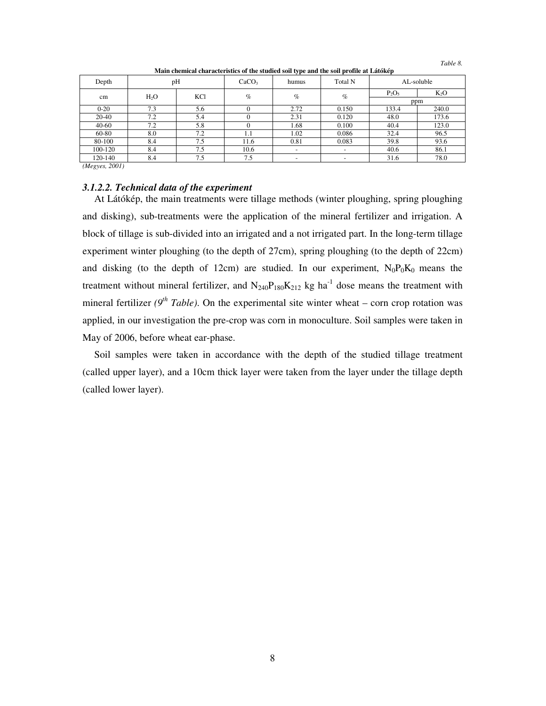| Depth     |        | pH  | CaCO <sub>3</sub> | humus                    | Total N                  |          | AL-soluble |  |  |     |
|-----------|--------|-----|-------------------|--------------------------|--------------------------|----------|------------|--|--|-----|
| cm        | $H_2O$ | KC1 | $\%$              | $\%$                     | $\%$                     | $P_2O_5$ | $K_2O$     |  |  |     |
|           |        |     |                   |                          |                          |          |            |  |  | ppm |
| $0 - 20$  | 7.3    | 5.6 |                   | 2.72                     | 0.150                    | 133.4    | 240.0      |  |  |     |
| 20-40     | 7.2    | 5.4 |                   | 2.31                     | 0.120                    | 48.0     | 173.6      |  |  |     |
| $40 - 60$ | 7.2    | 5.8 |                   | 1.68                     | 0.100                    | 40.4     | 123.0      |  |  |     |
| 60-80     | 8.0    | 7.2 | 1.1               | 1.02                     | 0.086                    | 32.4     | 96.5       |  |  |     |
| 80-100    | 8.4    | 7.5 | 11.6              | 0.81                     | 0.083                    | 39.8     | 93.6       |  |  |     |
| 100-120   | 8.4    | 7.5 | 10.6              | $\overline{\phantom{a}}$ | $\overline{\phantom{0}}$ | 40.6     | 86.1       |  |  |     |
| 120-140   | 8.4    | 7.5 | 7.5               |                          | ٠                        | 31.6     | 78.0       |  |  |     |

**Main chemical characteristics of the studied soil type and the soil profile at Látókép** 

*Table 8.* 

*(Megyes, 2001)* 

## *3.1.2.2. Technical data of the experiment*

At Látókép, the main treatments were tillage methods (winter ploughing, spring ploughing and disking), sub-treatments were the application of the mineral fertilizer and irrigation. A block of tillage is sub-divided into an irrigated and a not irrigated part. In the long-term tillage experiment winter ploughing (to the depth of 27cm), spring ploughing (to the depth of 22cm) and disking (to the depth of 12cm) are studied. In our experiment,  $N_0P_0K_0$  means the treatment without mineral fertilizer, and  $N_{240}P_{180}K_{212}$  kg ha<sup>-1</sup> dose means the treatment with mineral fertilizer  $(9^{th}$  Table). On the experimental site winter wheat – corn crop rotation was applied, in our investigation the pre-crop was corn in monoculture. Soil samples were taken in May of 2006, before wheat ear-phase.

Soil samples were taken in accordance with the depth of the studied tillage treatment (called upper layer), and a 10cm thick layer were taken from the layer under the tillage depth (called lower layer).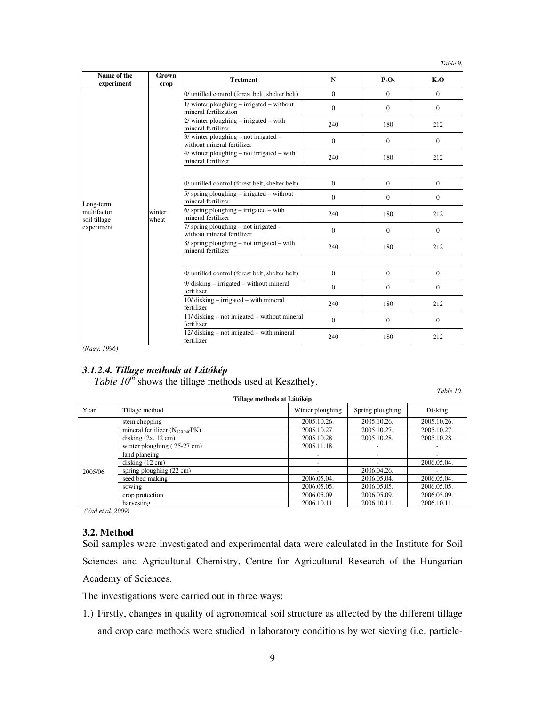*Table 9.* 

| Name of the<br>experiment   | Grown<br>crop   | <b>Tretment</b>                                                       | N              | $P_2O_5$     | K <sub>2</sub> O |
|-----------------------------|-----------------|-----------------------------------------------------------------------|----------------|--------------|------------------|
|                             |                 | 0/ untilled control (forest belt, shelter belt)                       | $\theta$       | $\theta$     | $\Omega$         |
|                             |                 | $1$ / winter ploughing – irrigated – without<br>mineral fertilization | $\overline{0}$ | $\Omega$     | $\Omega$         |
|                             |                 | 2/ winter ploughing - irrigated - with<br>mineral fertilizer          | 240            | 180          | 212              |
|                             |                 | $3/$ winter ploughing – not irrigated –<br>without mineral fertilizer | $\overline{0}$ | $\Omega$     | $\Omega$         |
|                             |                 | 4/ winter ploughing - not irrigated - with<br>mineral fertilizer      | 240            | 180          | 212              |
|                             |                 |                                                                       |                |              |                  |
|                             | winter<br>wheat | 0/ untilled control (forest belt, shelter belt)                       | $\overline{0}$ | $\mathbf{0}$ | $\mathbf{0}$     |
| Long-term                   |                 | $5/$ spring ploughing – irrigated – without<br>mineral fertilizer     | $\Omega$       | $\Omega$     | $\Omega$         |
| multifactor<br>soil tillage |                 | $6/$ spring ploughing – irrigated – with<br>mineral fertilizer        | 240            | 180          | 212              |
| experiment                  |                 | $7/$ spring ploughing – not irrigated –<br>without mineral fertilizer | $\overline{0}$ | $\mathbf{0}$ | $\Omega$         |
|                             |                 | $8/$ spring ploughing – not irrigated – with<br>mineral fertilizer    | 240            | 180          | 212              |
|                             |                 |                                                                       |                |              |                  |
|                             |                 | 0/ untilled control (forest belt, shelter belt)                       | $\overline{0}$ | $\theta$     | $\Omega$         |
|                             |                 | $9/$ disking – irrigated – without mineral<br>fertilizer              | $\Omega$       | $\Omega$     | $\Omega$         |
|                             |                 | 10/ disking – irrigated – with mineral<br>fertilizer                  | 240            | 180          | 212              |
|                             |                 | 11/ disking – not irrigated – without mineral<br>fertilizer           | $\overline{0}$ | $\theta$     | $\Omega$         |
|                             |                 | 12/ disking – not irrigated – with mineral<br>fertilizer              | 240            | 180          | 212              |

*(Nagy, 1996)* 

# *3.1.2.4. Tillage methods at Látókép*

*Table 10<sup>th</sup>* shows the tillage methods used at Keszthely.

*Table 10.* 

| 1<br>Tillage methods at Látókép |                                       |                  |                          |             |  |  |  |
|---------------------------------|---------------------------------------|------------------|--------------------------|-------------|--|--|--|
| Year                            | Tillage method                        | Winter ploughing | Spring ploughing         | Disking     |  |  |  |
|                                 | stem chopping                         | 2005.10.26.      | 2005.10.26.              | 2005.10.26. |  |  |  |
|                                 | mineral fertilizer $(N_{120,240}PK)$  | 2005.10.27.      | 2005.10.27.              | 2005.10.27. |  |  |  |
|                                 | disking $(2x, 12 \text{ cm})$         | 2005.10.28.      | 2005.10.28.              | 2005.10.28. |  |  |  |
|                                 | winter ploughing $(25-27 \text{ cm})$ | 2005.11.18.      |                          |             |  |  |  |
|                                 | land planeing                         |                  | $\overline{\phantom{0}}$ |             |  |  |  |
|                                 | disking $(12 \text{ cm})$             |                  |                          | 2006.05.04. |  |  |  |
| 2005/06                         | spring ploughing $(22 \text{ cm})$    |                  | 2006.04.26.              |             |  |  |  |
|                                 | seed bed making                       | 2006.05.04.      | 2006.05.04.              | 2006.05.04. |  |  |  |
|                                 | sowing                                | 2006.05.05.      | 2006.05.05.              | 2006.05.05. |  |  |  |
|                                 | crop protection                       | 2006.05.09.      | 2006.05.09.              | 2006.05.09. |  |  |  |
|                                 | harvesting                            | 2006.10.11.      | 2006.10.11.              | 2006.10.11. |  |  |  |

 *(Vad et al. 2009)* 

## **3.2. Method**

Soil samples were investigated and experimental data were calculated in the Institute for Soil Sciences and Agricultural Chemistry, Centre for Agricultural Research of the Hungarian Academy of Sciences.

The investigations were carried out in three ways:

1.) Firstly, changes in quality of agronomical soil structure as affected by the different tillage and crop care methods were studied in laboratory conditions by wet sieving (i.e. particle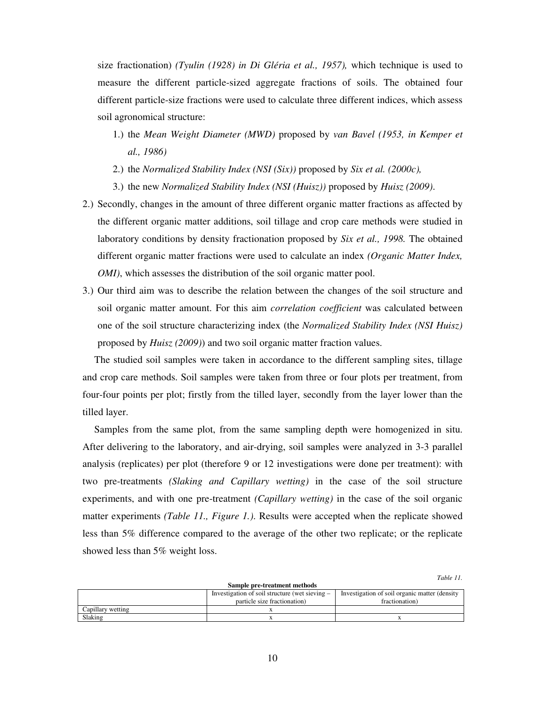size fractionation) *(Tyulin (1928) in Di Gléria et al., 1957),* which technique is used to measure the different particle-sized aggregate fractions of soils. The obtained four different particle-size fractions were used to calculate three different indices, which assess soil agronomical structure:

- 1.) the *Mean Weight Diameter (MWD)* proposed by *van Bavel (1953, in Kemper et al., 1986)*
- 2.) the *Normalized Stability Index (NSI (Six))* proposed by *Six et al. (2000c),*
- 3.) the new *Normalized Stability Index (NSI (Huisz))* proposed by *Huisz (2009)*.
- 2.) Secondly, changes in the amount of three different organic matter fractions as affected by the different organic matter additions, soil tillage and crop care methods were studied in laboratory conditions by density fractionation proposed by *Six et al., 1998.* The obtained different organic matter fractions were used to calculate an index *(Organic Matter Index, OMI*), which assesses the distribution of the soil organic matter pool.
- 3.) Our third aim was to describe the relation between the changes of the soil structure and soil organic matter amount. For this aim *correlation coefficient* was calculated between one of the soil structure characterizing index (the *Normalized Stability Index (NSI Huisz)*  proposed by *Huisz (2009)*) and two soil organic matter fraction values.

The studied soil samples were taken in accordance to the different sampling sites, tillage and crop care methods. Soil samples were taken from three or four plots per treatment, from four-four points per plot; firstly from the tilled layer, secondly from the layer lower than the tilled layer.

Samples from the same plot, from the same sampling depth were homogenized in situ. After delivering to the laboratory, and air-drying, soil samples were analyzed in 3-3 parallel analysis (replicates) per plot (therefore 9 or 12 investigations were done per treatment): with two pre-treatments *(Slaking and Capillary wetting)* in the case of the soil structure experiments, and with one pre-treatment *(Capillary wetting)* in the case of the soil organic matter experiments *(Table 11., Figure 1.)*. Results were accepted when the replicate showed less than 5% difference compared to the average of the other two replicate; or the replicate showed less than 5% weight loss.

*Table 11.* 

| Sample pre-treatment methods |                                                  |                                               |  |  |  |  |
|------------------------------|--------------------------------------------------|-----------------------------------------------|--|--|--|--|
|                              | Investigation of soil structure (wet sieving $-$ | Investigation of soil organic matter (density |  |  |  |  |
|                              | particle size fractionation)                     | fractionation)                                |  |  |  |  |
| Capillary wetting            |                                                  |                                               |  |  |  |  |
| Slaking                      |                                                  |                                               |  |  |  |  |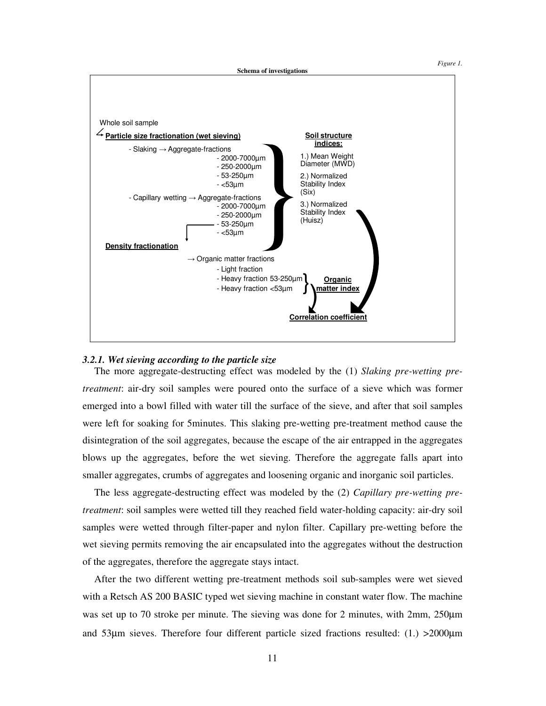*Figure 1.* 



#### *3.2.1. Wet sieving according to the particle size*

The more aggregate-destructing effect was modeled by the (1) *Slaking pre-wetting pretreatment*: air-dry soil samples were poured onto the surface of a sieve which was former emerged into a bowl filled with water till the surface of the sieve, and after that soil samples were left for soaking for 5minutes. This slaking pre-wetting pre-treatment method cause the disintegration of the soil aggregates, because the escape of the air entrapped in the aggregates blows up the aggregates, before the wet sieving. Therefore the aggregate falls apart into smaller aggregates, crumbs of aggregates and loosening organic and inorganic soil particles.

The less aggregate-destructing effect was modeled by the (2) *Capillary pre-wetting pretreatment*: soil samples were wetted till they reached field water-holding capacity: air-dry soil samples were wetted through filter-paper and nylon filter. Capillary pre-wetting before the wet sieving permits removing the air encapsulated into the aggregates without the destruction of the aggregates, therefore the aggregate stays intact.

After the two different wetting pre-treatment methods soil sub-samples were wet sieved with a Retsch AS 200 BASIC typed wet sieving machine in constant water flow. The machine was set up to 70 stroke per minute. The sieving was done for 2 minutes, with 2mm, 250 $\mu$ m and 53µm sieves. Therefore four different particle sized fractions resulted: (1.) >2000µm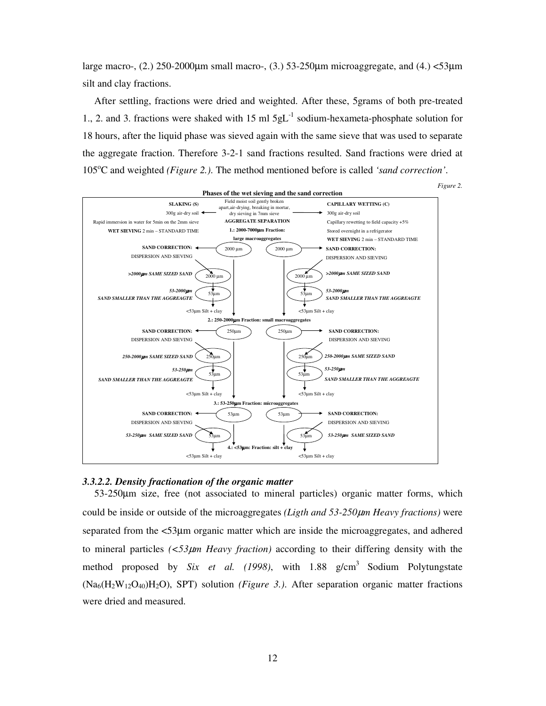large macro-,  $(2.)$  250-2000 $\mu$ m small macro-,  $(3.)$  53-250 $\mu$ m microaggregate, and  $(4.)$  <53 $\mu$ m silt and clay fractions.

After settling, fractions were dried and weighted. After these, 5grams of both pre-treated 1., 2. and 3. fractions were shaked with 15 ml  $5gL^{-1}$  sodium-hexameta-phosphate solution for 18 hours, after the liquid phase was sieved again with the same sieve that was used to separate the aggregate fraction. Therefore 3-2-1 sand fractions resulted. Sand fractions were dried at 105<sup>o</sup>C and weighted *(Figure 2.)*. The method mentioned before is called *'sand correction'*.



## *3.3.2.2. Density fractionation of the organic matter*

53-250µm size, free (not associated to mineral particles) organic matter forms, which could be inside or outside of the microaggregates *(Ligth and 53-250*µ*m Heavy fractions)* were separated from the <53µm organic matter which are inside the microaggregates, and adhered to mineral particles *(<53*µ*m Heavy fraction)* according to their differing density with the method proposed by *Six et al.* (1998), with 1.88  $g/cm<sup>3</sup>$  Sodium Polytungstate (Na6(H2W12O40)H2O), SPT) solution *(Figure 3.)*. After separation organic matter fractions were dried and measured.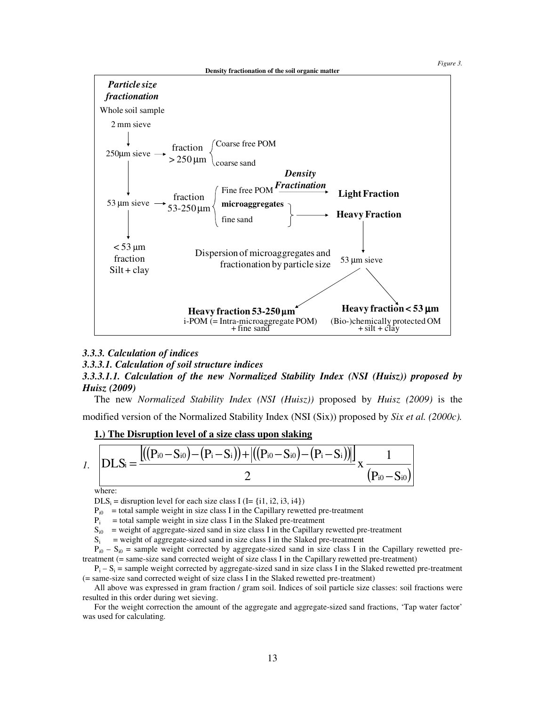*Figure 3.* 



### *3.3.3. Calculation of indices*

*3.3.3.1. Calculation of soil structure indices* 

## *3.3.3.1.1. Calculation of the new Normalized Stability Index (NSI (Huisz)) proposed by Huisz (2009)*

The new *Normalized Stability Index (NSI (Huisz))* proposed by *Huisz (2009)* is the modified version of the Normalized Stability Index (NSI (Six)) proposed by *Six et al. (2000c).*

**1.) The Disruption level of a size class upon slaking** 



where:

 $\text{DLS}_i$  = disruption level for each size class I (I= {i1, i2, i3, i4})

 $P_{i0}$  = total sample weight in size class I in the Capillary rewetted pre-treatment

 $P_i$  = total sample weight in size class I in the Slaked pre-treatment

 $S_{i0}$  = weight of aggregate-sized sand in size class I in the Capillary rewetted pre-treatment

 $S_i$  = weight of aggregate-sized sand in size class I in the Slaked pre-treatment

 $P_{i0} - S_{i0}$  = sample weight corrected by aggregate-sized sand in size class I in the Capillary rewetted pretreatment (= same-size sand corrected weight of size class I in the Capillary rewetted pre-treatment)

 $P_i - S_i$  = sample weight corrected by aggregate-sized sand in size class I in the Slaked rewetted pre-treatment (= same-size sand corrected weight of size class I in the Slaked rewetted pre-treatment)

All above was expressed in gram fraction / gram soil. Indices of soil particle size classes: soil fractions were resulted in this order during wet sieving.

For the weight correction the amount of the aggregate and aggregate-sized sand fractions, 'Tap water factor' was used for calculating.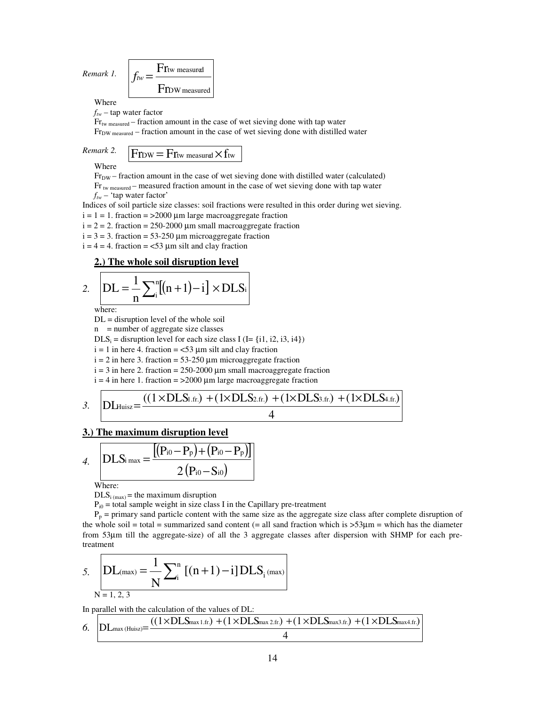*Remark 1.* 
$$
f_{tw} = \frac{F_{\text{Itw measured}}}{F_{\text{TDW measured}}}
$$

Where

*ftw* – tap water factor

Frtw measured – fraction amount in the case of wet sieving done with tap water Fr<sub>DW measured</sub> – fraction amount in the case of wet sieving done with distilled water

# *Remark 2.*  $\boxed{\text{F}$   $\text{F}$   $\text{F}$   $\text{F}$   $\text{F}$   $\text{F}$   $\text{F}$   $\text{F}$   $\text{F}$   $\text{F}$   $\text{F}$   $\text{F}$   $\text{F}$   $\text{F}$   $\text{F}$   $\text{F}$   $\text{F}$   $\text{F}$   $\text{F}$   $\text{F}$   $\text{F}$   $\text{F}$   $\text{F}$   $\text{F}$   $\text{F}$   $\text{F}$

Where

 $Fr<sub>DW</sub>$  – fraction amount in the case of wet sieving done with distilled water (calculated) Fr<sub>tw measured</sub> – measured fraction amount in the case of wet sieving done with tap water

*ftw* – 'tap water factor'

Indices of soil particle size classes: soil fractions were resulted in this order during wet sieving.  $i = 1 = 1$ . fraction = >2000 µm large macroaggregate fraction

 $i = 2 = 2$ . fraction = 250-2000  $\mu$ m small macroaggregate fraction

 $i = 3 = 3$ . fraction = 53-250  $\mu$ m microaggregate fraction

 $i = 4 = 4$ . fraction = <53  $\mu$ m silt and clay fraction

### **2.) The whole soil disruption level**

2. 
$$
DL = \frac{1}{n} \sum_{i}^{n} [(n+1) - i] \times DLS_{i}
$$

where:

DL = disruption level of the whole soil

 $n$  = number of aggregate size classes

 $\text{DLS}_i$  = disruption level for each size class I (I= {i1, i2, i3, i4})

 $i = 1$  in here 4. fraction = <53  $\mu$ m silt and clay fraction

 $i = 2$  in here 3. fraction = 53-250 µm microaggregate fraction

 $i = 3$  in here 2. fraction = 250-2000 µm small macroaggregate fraction

 $i = 4$  in here 1. fraction = >2000 µm large macroaggregate fraction

3. 
$$
DL_{Huisz} = \frac{((1 \times DLS_{1.fr.}) + (1 \times DLS_{2.fr.}) + (1 \times DLS_{3.fr.}) + (1 \times DLS_{4.fr.})}{4}
$$

### **3.) The maximum disruption level**

4. 
$$
DLS_{i max} = \frac{[(P_{i0} - P_p) + (P_{i0} - P_p)]}{2 (P_{i0} - S_{i0})}
$$

Where:

 $DLS_{i \text{ (max)}}$  = the maximum disruption

 $P_{i0}$  = total sample weight in size class I in the Capillary pre-treatment

 $P_p$  = primary sand particle content with the same size as the aggregate size class after complete disruption of the whole soil = total = summarized sand content (= all sand fraction which is  $>53\mu$ m = which has the diameter from 53µm till the aggregate-size) of all the 3 aggregate classes after dispersion with SHMP for each pretreatment

5. 
$$
DL_{(max)} = \frac{1}{N} \sum_{i=1, 2, 3}^{N} [(n+1) - i] DLS_{i \text{ (max)}}
$$

In parallel with the calculation of the values of DL:

$$
\text{6.}\quad\text{DL}_{\text{max (Huisz)}}\text{=}\frac{((1\times\text{DL}S_{\text{max 1.fr.}})+(1\times\text{DL}S_{\text{max 2.fr.}})+(1\times\text{DL}S_{\text{max3.fr.}})+(1\times\text{DL}S_{\text{max4.fr.}})}{4}
$$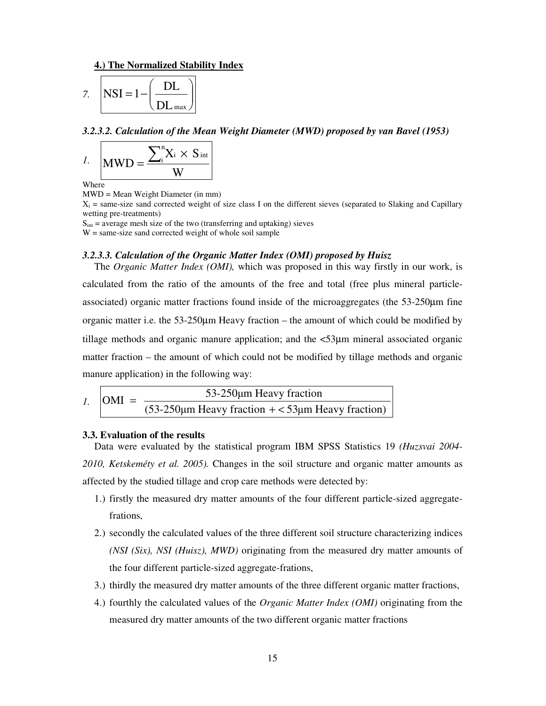#### **4.) The Normalized Stability Index**

$$
7. \quad \left| \text{NSI} = 1 - \left( \frac{\text{DL}}{\text{DL}_{\text{max}}} \right) \right|
$$

#### *3.2.3.2. Calculation of the Mean Weight Diameter (MWD) proposed by van Bavel (1953)*

$$
I. \quad MWD = \frac{\sum_{i}^{n} X_{i} \times S_{int}}{W}
$$

Where

MWD = Mean Weight Diameter (in mm)

 $X_i$  = same-size sand corrected weight of size class I on the different sieves (separated to Slaking and Capillary wetting pre-treatments)

 $S_{\text{int}}$  = average mesh size of the two (transferring and uptaking) sieves

 $W = same-size$  sand corrected weight of whole soil sample

#### *3.2.3.3. Calculation of the Organic Matter Index (OMI) proposed by Huisz*

The *Organic Matter Index (OMI),* which was proposed in this way firstly in our work, is calculated from the ratio of the amounts of the free and total (free plus mineral particleassociated) organic matter fractions found inside of the microaggregates (the 53-250µm fine organic matter i.e. the 53-250µm Heavy fraction – the amount of which could be modified by tillage methods and organic manure application; and the <53µm mineral associated organic matter fraction – the amount of which could not be modified by tillage methods and organic manure application) in the following way:

$$
I. \quad \text{OMI} = \frac{53-250\mu\text{m Heavy fraction}}{(53-250\mu\text{m Heavy fraction} + < 53\mu\text{m Heavy fraction})}
$$

#### **3.3. Evaluation of the results**

Data were evaluated by the statistical program IBM SPSS Statistics 19 *(Huzsvai 2004- 2010, Ketskeméty et al. 2005).* Changes in the soil structure and organic matter amounts as affected by the studied tillage and crop care methods were detected by:

- 1.) firstly the measured dry matter amounts of the four different particle-sized aggregatefrations,
- 2.) secondly the calculated values of the three different soil structure characterizing indices *(NSI (Six), NSI (Huisz), MWD)* originating from the measured dry matter amounts of the four different particle-sized aggregate-frations,
- 3.) thirdly the measured dry matter amounts of the three different organic matter fractions,
- 4.) fourthly the calculated values of the *Organic Matter Index (OMI)* originating from the measured dry matter amounts of the two different organic matter fractions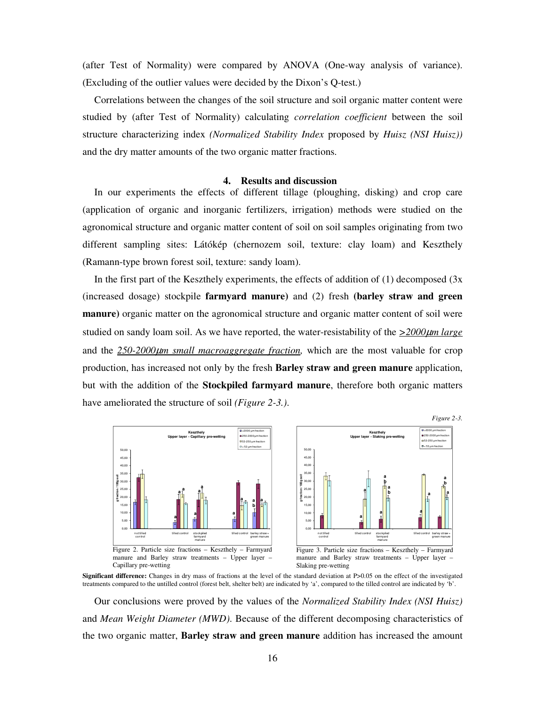(after Test of Normality) were compared by ANOVA (One-way analysis of variance). (Excluding of the outlier values were decided by the Dixon's Q-test.)

Correlations between the changes of the soil structure and soil organic matter content were studied by (after Test of Normality) calculating *correlation coefficient* between the soil structure characterizing index *(Normalized Stability Index* proposed by *Huisz (NSI Huisz))* and the dry matter amounts of the two organic matter fractions.

#### **4. Results and discussion**

In our experiments the effects of different tillage (ploughing, disking) and crop care (application of organic and inorganic fertilizers, irrigation) methods were studied on the agronomical structure and organic matter content of soil on soil samples originating from two different sampling sites: Látókép (chernozem soil, texture: clay loam) and Keszthely (Ramann-type brown forest soil, texture: sandy loam).

In the first part of the Keszthely experiments, the effects of addition of  $(1)$  decomposed  $(3x)$ (increased dosage) stockpile **farmyard manure)** and (2) fresh **(barley straw and green manure)** organic matter on the agronomical structure and organic matter content of soil were studied on sandy loam soil. As we have reported, the water-resistability of the  $\geq 2000 \mu m$  *large* and the *250-2000*µ*m small macroaggregate fraction,* which are the most valuable for crop production, has increased not only by the fresh **Barley straw and green manure** application, but with the addition of the **Stockpiled farmyard manure**, therefore both organic matters have ameliorated the structure of soil *(Figure 2-3.)*.



**Significant difference:** Changes in dry mass of fractions at the level of the standard deviation at P>0.05 on the effect of the investigated treatments compared to the untilled control (forest belt, shelter belt) are indicated by 'a', compared to the tilled control are indicated by 'b'.

Our conclusions were proved by the values of the *Normalized Stability Index (NSI Huisz)* and *Mean Weight Diameter (MWD)*. Because of the different decomposing characteristics of the two organic matter, **Barley straw and green manure** addition has increased the amount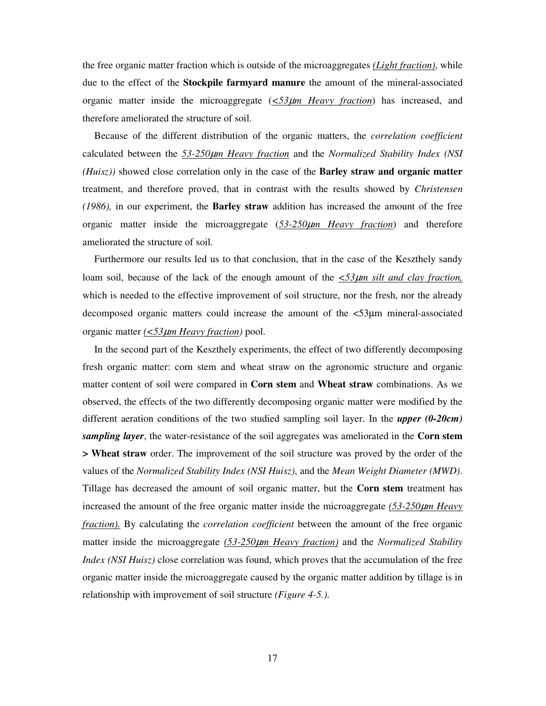the free organic matter fraction which is outside of the microaggregates *(Light fraction)*, while due to the effect of the **Stockpile farmyard manure** the amount of the mineral-associated organic matter inside the microaggregate  $(\leq 53 \mu m$  *Heavy fraction*) has increased, and therefore ameliorated the structure of soil.

Because of the different distribution of the organic matters, the *correlation coefficient* calculated between the *53-250*µ*m Heavy fraction* and the *Normalized Stability Index (NSI (Huisz))* showed close correlation only in the case of the **Barley straw and organic matter**  treatment, and therefore proved, that in contrast with the results showed by *Christensen (1986),* in our experiment, the **Barley straw** addition has increased the amount of the free organic matter inside the microaggregate (*53-250*µ*m Heavy fraction*) and therefore ameliorated the structure of soil.

Furthermore our results led us to that conclusion, that in the case of the Keszthely sandy loam soil, because of the lack of the enough amount of the *<53*µ*m silt and clay fraction,* which is needed to the effective improvement of soil structure, nor the fresh, nor the already decomposed organic matters could increase the amount of the <53µm mineral-associated organic matter *(<53*µ*m Heavy fraction)* pool.

In the second part of the Keszthely experiments, the effect of two differently decomposing fresh organic matter: corn stem and wheat straw on the agronomic structure and organic matter content of soil were compared in **Corn stem** and **Wheat straw** combinations. As we observed, the effects of the two differently decomposing organic matter were modified by the different aeration conditions of the two studied sampling soil layer. In the *upper (0-20cm) sampling layer*, the water-resistance of the soil aggregates was ameliorated in the **Corn stem > Wheat straw** order. The improvement of the soil structure was proved by the order of the values of the *Normalized Stability Index (NSI Huisz)*, and the *Mean Weight Diameter (MWD)*. Tillage has decreased the amount of soil organic matter, but the **Corn stem** treatment has increased the amount of the free organic matter inside the microaggregate *(53-250*µ*m Heavy fraction).* By calculating the *correlation coefficient* between the amount of the free organic matter inside the microaggregate *(53-250*µ*m Heavy fraction)* and the *Normalized Stability Index (NSI Huisz)* close correlation was found, which proves that the accumulation of the free organic matter inside the microaggregate caused by the organic matter addition by tillage is in relationship with improvement of soil structure *(Figure 4-5.)*.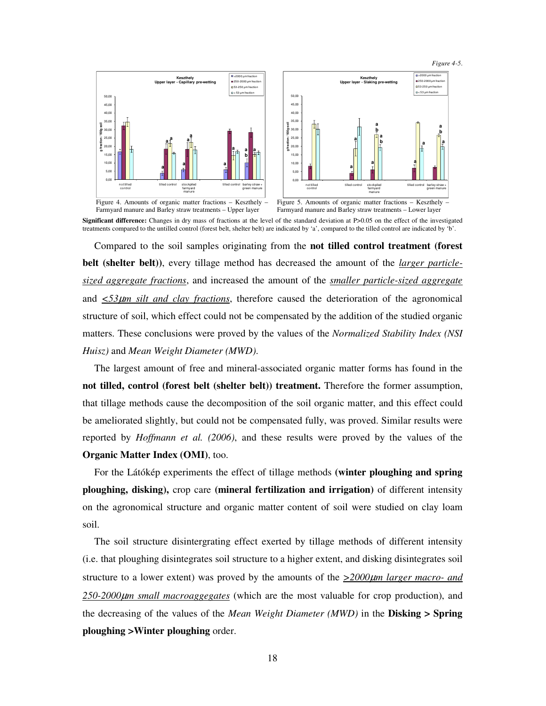*Figure 4-5*.



**Significant difference:** Changes in dry mass of fractions at the level of the standard deviation at P>0.05 on the effect of the investigated treatments compared to the untilled control (forest belt, shelter belt) are indicated by 'a', compared to the tilled control are indicated by 'b'.

Compared to the soil samples originating from the **not tilled control treatment (forest belt (shelter belt))**, every tillage method has decreased the amount of the *larger particlesized aggregate fractions*, and increased the amount of the *smaller particle-sized aggregate* and *<53*µ*m silt and clay fractions*, therefore caused the deterioration of the agronomical structure of soil, which effect could not be compensated by the addition of the studied organic matters. These conclusions were proved by the values of the *Normalized Stability Index (NSI Huisz)* and *Mean Weight Diameter (MWD)*.

The largest amount of free and mineral-associated organic matter forms has found in the **not tilled, control (forest belt (shelter belt)) treatment.** Therefore the former assumption, that tillage methods cause the decomposition of the soil organic matter, and this effect could be ameliorated slightly, but could not be compensated fully, was proved. Similar results were reported by *Hoffmann et al. (2006)*, and these results were proved by the values of the **Organic Matter Index (OMI)**, too.

For the Látókép experiments the effect of tillage methods **(winter ploughing and spring ploughing, disking),** crop care **(mineral fertilization and irrigation)** of different intensity on the agronomical structure and organic matter content of soil were studied on clay loam soil.

The soil structure disintergrating effect exerted by tillage methods of different intensity (i.e. that ploughing disintegrates soil structure to a higher extent, and disking disintegrates soil structure to a lower extent) was proved by the amounts of the  $\geq 2000 \mu m$  *larger macro- and 250-2000*µ*m small macroaggegates* (which are the most valuable for crop production), and the decreasing of the values of the *Mean Weight Diameter (MWD)* in the **Disking > Spring ploughing >Winter ploughing** order.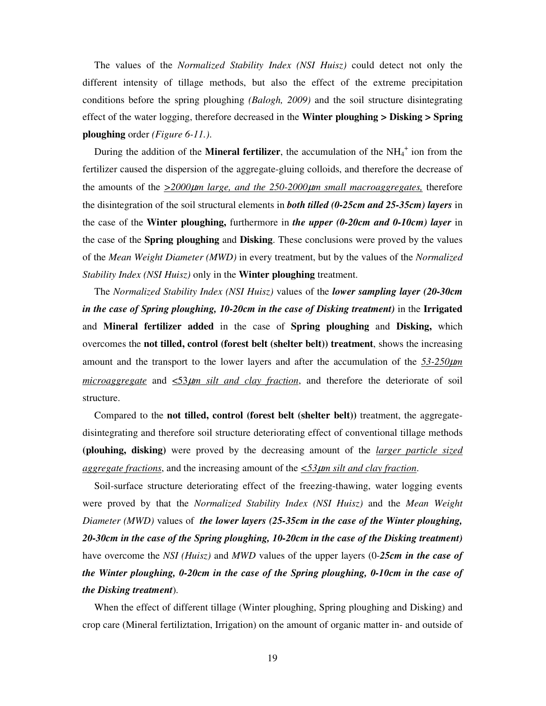The values of the *Normalized Stability Index (NSI Huisz)* could detect not only the different intensity of tillage methods, but also the effect of the extreme precipitation conditions before the spring ploughing *(Balogh, 2009)* and the soil structure disintegrating effect of the water logging, therefore decreased in the **Winter ploughing > Disking > Spring ploughing** order *(Figure 6-11.)*.

During the addition of the **Mineral fertilizer**, the accumulation of the NH<sub>4</sub><sup>+</sup> ion from the fertilizer caused the dispersion of the aggregate-gluing colloids, and therefore the decrease of the amounts of the *>2000*µ*m large, and the 250-2000*µ*m small macroaggregates,* therefore the disintegration of the soil structural elements in *both tilled (0-25cm and 25-35cm) layers* in the case of the **Winter ploughing,** furthermore in *the upper (0-20cm and 0-10cm) layer* in the case of the **Spring ploughing** and **Disking**. These conclusions were proved by the values of the *Mean Weight Diameter (MWD)* in every treatment, but by the values of the *Normalized Stability Index (NSI Huisz)* only in the **Winter ploughing** treatment.

The *Normalized Stability Index (NSI Huisz)* values of the *lower sampling layer (20-30cm in the case of Spring ploughing, 10-20cm in the case of Disking treatment)* in the **Irrigated**  and **Mineral fertilizer added** in the case of **Spring ploughing** and **Disking,** which overcomes the **not tilled, control (forest belt (shelter belt)) treatment**, shows the increasing amount and the transport to the lower layers and after the accumulation of the  $\frac{53-250\mu m}{2}$ *microaggregate* and <53µ*m silt and clay fraction*, and therefore the deteriorate of soil structure.

Compared to the **not tilled, control (forest belt (shelter belt))** treatment, the aggregatedisintegrating and therefore soil structure deteriorating effect of conventional tillage methods **(plouhing, disking)** were proved by the decreasing amount of the *larger particle sized aggregate fractions*, and the increasing amount of the *<53*µ*m silt and clay fraction*.

Soil-surface structure deteriorating effect of the freezing-thawing, water logging events were proved by that the *Normalized Stability Index (NSI Huisz)* and the *Mean Weight Diameter (MWD)* values of *the lower layers (25-35cm in the case of the Winter ploughing, 20-30cm in the case of the Spring ploughing, 10-20cm in the case of the Disking treatment)* have overcome the *NSI (Huisz)* and *MWD* values of the upper layers (0-*25cm in the case of the Winter ploughing, 0-20cm in the case of the Spring ploughing, 0-10cm in the case of the Disking treatment*).

When the effect of different tillage (Winter ploughing, Spring ploughing and Disking) and crop care (Mineral fertiliztation, Irrigation) on the amount of organic matter in- and outside of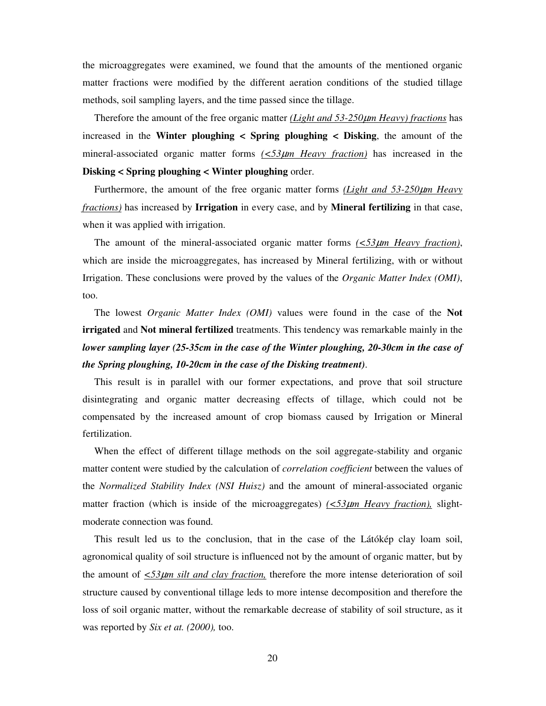the microaggregates were examined, we found that the amounts of the mentioned organic matter fractions were modified by the different aeration conditions of the studied tillage methods, soil sampling layers, and the time passed since the tillage.

Therefore the amount of the free organic matter *(Light and 53-250*µ*m Heavy) fractions* has increased in the **Winter ploughing < Spring ploughing < Disking**, the amount of the mineral-associated organic matter forms *(<53*µ*m Heavy fraction)* has increased in the **Disking < Spring ploughing < Winter ploughing** order.

Furthermore, the amount of the free organic matter forms *(Light and 53-250*µ*m Heavy fractions)* has increased by **Irrigation** in every case, and by **Mineral fertilizing** in that case, when it was applied with irrigation.

The amount of the mineral-associated organic matter forms *(<53*µ*m Heavy fraction)*, which are inside the microaggregates, has increased by Mineral fertilizing, with or without Irrigation. These conclusions were proved by the values of the *Organic Matter Index (OMI)*, too.

The lowest *Organic Matter Index (OMI)* values were found in the case of the **Not irrigated** and **Not mineral fertilized** treatments. This tendency was remarkable mainly in the *lower sampling layer (25-35cm in the case of the Winter ploughing, 20-30cm in the case of the Spring ploughing, 10-20cm in the case of the Disking treatment)*.

This result is in parallel with our former expectations, and prove that soil structure disintegrating and organic matter decreasing effects of tillage, which could not be compensated by the increased amount of crop biomass caused by Irrigation or Mineral fertilization.

When the effect of different tillage methods on the soil aggregate-stability and organic matter content were studied by the calculation of *correlation coefficient* between the values of the *Normalized Stability Index (NSI Huisz)* and the amount of mineral-associated organic matter fraction (which is inside of the microaggregates)  $(\leq 53 \mu m$  Heavy fraction), slightmoderate connection was found.

This result led us to the conclusion, that in the case of the Látókép clay loam soil, agronomical quality of soil structure is influenced not by the amount of organic matter, but by the amount of  $\leq 53\mu m$  silt and clay fraction, therefore the more intense deterioration of soil structure caused by conventional tillage leds to more intense decomposition and therefore the loss of soil organic matter, without the remarkable decrease of stability of soil structure, as it was reported by *Six et at. (2000),* too.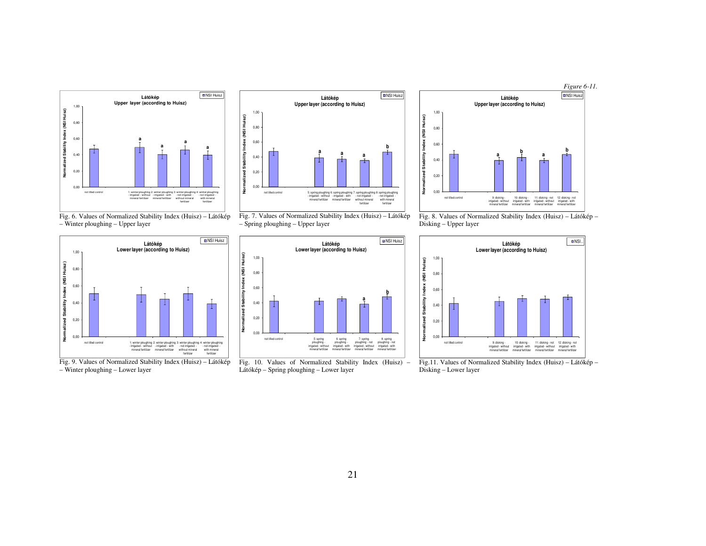

Fig. 6. Values of Normalized Stability Index (Huisz) – Látókép – Winter ploughing – Upper layer



– Winter ploughing – Lower layer







Látókép – Spring ploughing – Lower layer



Fig. 8. Values of Normalized Stability Index (Huisz) – Látókép – Disking – Upper layer



Fig.11. Values of Normalized Stability Index (Huisz) – Látókép – Disking – Lower layer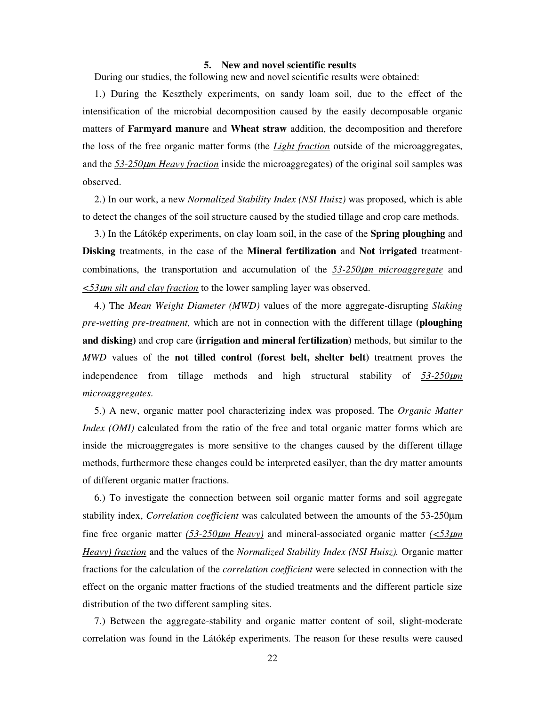### **5. New and novel scientific results**

During our studies, the following new and novel scientific results were obtained:

1.) During the Keszthely experiments, on sandy loam soil, due to the effect of the intensification of the microbial decomposition caused by the easily decomposable organic matters of **Farmyard manure** and **Wheat straw** addition, the decomposition and therefore the loss of the free organic matter forms (the *Light fraction* outside of the microaggregates, and the *53-250*µ*m Heavy fraction* inside the microaggregates) of the original soil samples was observed.

2.) In our work, a new *Normalized Stability Index (NSI Huisz)* was proposed, which is able to detect the changes of the soil structure caused by the studied tillage and crop care methods.

3.) In the Látókép experiments, on clay loam soil, in the case of the **Spring ploughing** and **Disking** treatments, in the case of the **Mineral fertilization** and **Not irrigated** treatmentcombinations, the transportation and accumulation of the *53-250*µ*m microaggregate* and *<53*µ*m silt and clay fraction* to the lower sampling layer was observed.

4.) The *Mean Weight Diameter (MWD)* values of the more aggregate-disrupting *Slaking pre-wetting pre-treatment,* which are not in connection with the different tillage **(ploughing and disking)** and crop care **(irrigation and mineral fertilization)** methods, but similar to the *MWD* values of the **not tilled control (forest belt, shelter belt)** treatment proves the independence from tillage methods and high structural stability of *53-250*µ*m microaggregates*.

5.) A new, organic matter pool characterizing index was proposed. The *Organic Matter Index (OMI)* calculated from the ratio of the free and total organic matter forms which are inside the microaggregates is more sensitive to the changes caused by the different tillage methods, furthermore these changes could be interpreted easilyer, than the dry matter amounts of different organic matter fractions.

6.) To investigate the connection between soil organic matter forms and soil aggregate stability index, *Correlation coefficient* was calculated between the amounts of the 53-250µm fine free organic matter  $(53-250\mu m$  *Heavy*) and mineral-associated organic matter  $\frac{\langle 53\mu m \rangle}{\langle 53\mu m \rangle}$ *Heavy) fraction* and the values of the *Normalized Stability Index (NSI Huisz).* Organic matter fractions for the calculation of the *correlation coefficient* were selected in connection with the effect on the organic matter fractions of the studied treatments and the different particle size distribution of the two different sampling sites.

7.) Between the aggregate-stability and organic matter content of soil, slight-moderate correlation was found in the Látókép experiments. The reason for these results were caused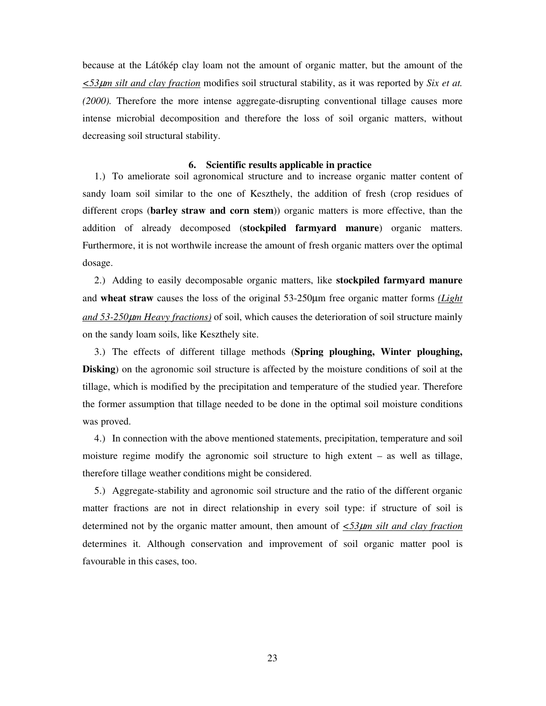because at the Látókép clay loam not the amount of organic matter, but the amount of the *<53*µ*m silt and clay fraction* modifies soil structural stability, as it was reported by *Six et at. (2000).* Therefore the more intense aggregate-disrupting conventional tillage causes more intense microbial decomposition and therefore the loss of soil organic matters, without decreasing soil structural stability.

#### **6. Scientific results applicable in practice**

1.) To ameliorate soil agronomical structure and to increase organic matter content of sandy loam soil similar to the one of Keszthely, the addition of fresh (crop residues of different crops (**barley straw and corn stem**)) organic matters is more effective, than the addition of already decomposed (**stockpiled farmyard manure**) organic matters. Furthermore, it is not worthwile increase the amount of fresh organic matters over the optimal dosage.

2.) Adding to easily decomposable organic matters, like **stockpiled farmyard manure** and **wheat straw** causes the loss of the original 53-250µm free organic matter forms *(Light and 53-250*µ*m Heavy fractions)* of soil, which causes the deterioration of soil structure mainly on the sandy loam soils, like Keszthely site.

3.) The effects of different tillage methods (**Spring ploughing, Winter ploughing, Disking**) on the agronomic soil structure is affected by the moisture conditions of soil at the tillage, which is modified by the precipitation and temperature of the studied year. Therefore the former assumption that tillage needed to be done in the optimal soil moisture conditions was proved.

4.) In connection with the above mentioned statements, precipitation, temperature and soil moisture regime modify the agronomic soil structure to high extent – as well as tillage, therefore tillage weather conditions might be considered.

5.) Aggregate-stability and agronomic soil structure and the ratio of the different organic matter fractions are not in direct relationship in every soil type: if structure of soil is determined not by the organic matter amount, then amount of *<53*µ*m silt and clay fraction* determines it. Although conservation and improvement of soil organic matter pool is favourable in this cases, too.

23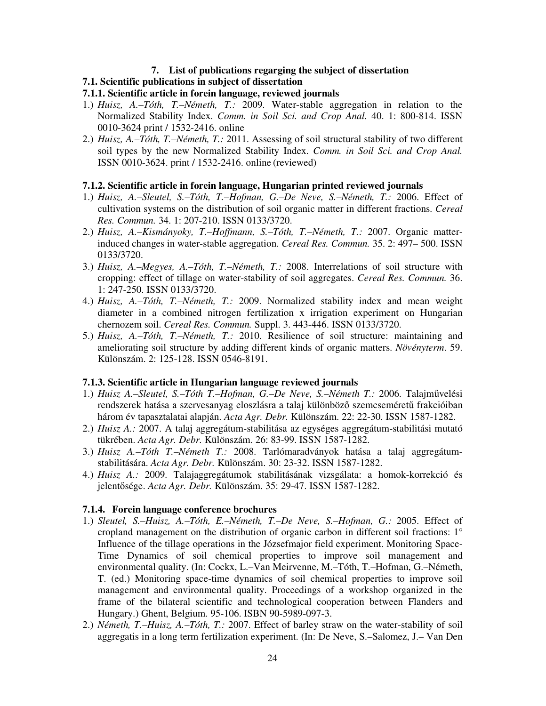## **7. List of publications regarging the subject of dissertation**

# **7.1. Scientific publications in subject of dissertation**

# **7.1.1. Scientific article in forein language, reviewed journals**

- 1.) *Huisz, A.–Tóth, T.–Németh, T.:* 2009. Water-stable aggregation in relation to the Normalized Stability Index. *Comm. in Soil Sci. and Crop Anal.* 40. 1: 800-814. ISSN 0010-3624 print / 1532-2416. online
- 2.) *Huisz, A.–Tóth, T.–Németh, T.:* 2011. Assessing of soil structural stability of two different soil types by the new Normalized Stability Index. *Comm. in Soil Sci. and Crop Anal.* ISSN 0010-3624. print / 1532-2416. online (reviewed)

## **7.1.2. Scientific article in forein language, Hungarian printed reviewed journals**

- 1.) *Huisz, A.–Sleutel, S.–Tóth, T.–Hofman, G.–De Neve, S.–Németh, T.:* 2006. Effect of cultivation systems on the distribution of soil organic matter in different fractions. *Cereal Res. Commun.* 34. 1: 207-210. ISSN 0133/3720.
- 2.) *Huisz, A.–Kismányoky, T.–Hoffmann, S.–Tóth, T.–Németh, T.:* 2007. Organic matterinduced changes in water-stable aggregation. *Cereal Res. Commun.* 35. 2: 497– 500. ISSN 0133/3720.
- 3.) *Huisz, A.–Megyes, A.–Tóth, T.–Németh, T.:* 2008. Interrelations of soil structure with cropping: effect of tillage on water-stability of soil aggregates. *Cereal Res. Commun.* 36. 1: 247-250. ISSN 0133/3720.
- 4.) *Huisz, A.–Tóth, T.–Németh, T.:* 2009. Normalized stability index and mean weight diameter in a combined nitrogen fertilization x irrigation experiment on Hungarian chernozem soil. *Cereal Res. Commun.* Suppl. 3. 443-446. ISSN 0133/3720.
- 5.) *Huisz, A.–Tóth, T.–Németh, T.:* 2010. Resilience of soil structure: maintaining and ameliorating soil structure by adding different kinds of organic matters. *Növényterm*. 59. Különszám. 2: 125-128. ISSN 0546-8191.

## **7.1.3. Scientific article in Hungarian language reviewed journals**

- 1.) *Huisz A.–Sleutel, S.–Tóth T.–Hofman, G.–De Neve, S.–Németh T.:* 2006. Talajművelési rendszerek hatása a szervesanyag eloszlásra a talaj különböző szemcseméretű frakcióiban három év tapasztalatai alapján. *Acta Agr. Debr.* Különszám. 22: 22-30. ISSN 1587-1282.
- 2.) *Huisz A.:* 2007. A talaj aggregátum-stabilitása az egységes aggregátum-stabilitási mutató tükrében. *Acta Agr. Debr.* Különszám. 26: 83-99. ISSN 1587-1282.
- 3.) *Huisz A.–Tóth T.–Németh T.:* 2008. Tarlómaradványok hatása a talaj aggregátumstabilitására. *Acta Agr. Debr.* Különszám. 30: 23-32. ISSN 1587-1282.
- 4.) *Huisz A.:* 2009. Talajaggregátumok stabilitásának vizsgálata: a homok-korrekció és jelentősége. *Acta Agr. Debr.* Különszám. 35: 29-47. ISSN 1587-1282.

## **7.1.4. Forein language conference brochures**

- 1.) *Sleutel, S.–Huisz, A.–Tóth, E.–Németh, T.–De Neve, S.–Hofman, G.:* 2005. Effect of cropland management on the distribution of organic carbon in different soil fractions: 1° Influence of the tillage operations in the Józsefmajor field experiment. Monitoring Space-Time Dynamics of soil chemical properties to improve soil management and environmental quality. (In: Cockx, L.–Van Meirvenne, M.–Tóth, T.–Hofman, G.–Németh, T. (ed.) Monitoring space-time dynamics of soil chemical properties to improve soil management and environmental quality. Proceedings of a workshop organized in the frame of the bilateral scientific and technological cooperation between Flanders and Hungary.) Ghent, Belgium. 95-106. ISBN 90-5989-097-3.
- 2.) *Németh, T.–Huisz, A.–Tóth, T.:* 2007. Effect of barley straw on the water-stability of soil aggregatis in a long term fertilization experiment. (In: De Neve, S.–Salomez, J.– Van Den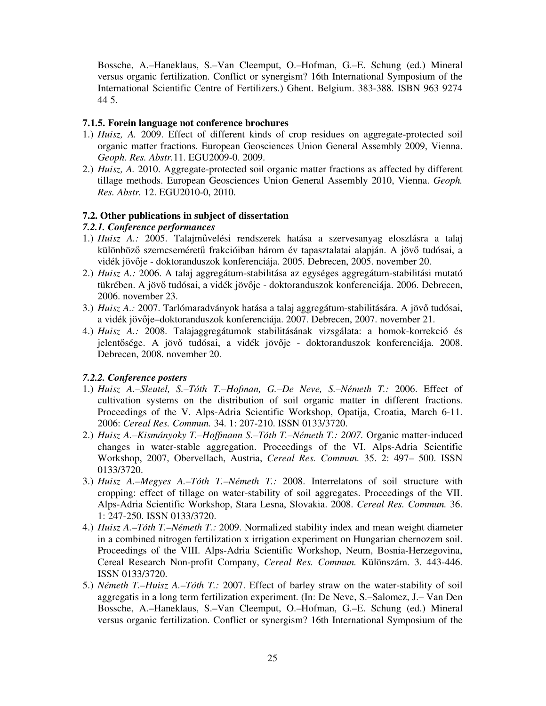Bossche, A.–Haneklaus, S.–Van Cleemput, O.–Hofman, G.–E. Schung (ed.) Mineral versus organic fertilization. Conflict or synergism? 16th International Symposium of the International Scientific Centre of Fertilizers.) Ghent. Belgium. 383-388. ISBN 963 9274 44 5.

# **7.1.5. Forein language not conference brochures**

- 1.) *Huisz, A.* 2009. Effect of different kinds of crop residues on aggregate-protected soil organic matter fractions. European Geosciences Union General Assembly 2009, Vienna. *Geoph. Res. Abstr.*11. EGU2009-0. 2009.
- 2.) *Huisz, A.* 2010. Aggregate-protected soil organic matter fractions as affected by different tillage methods. European Geosciences Union General Assembly 2010, Vienna. *Geoph. Res. Abstr.* 12. EGU2010-0, 2010.

# **7.2. Other publications in subject of dissertation**

# *7.2.1. Conference performances*

- 1.) *Huisz A.:* 2005. Talajművelési rendszerek hatása a szervesanyag eloszlásra a talaj különböző szemcseméretű frakcióiban három év tapasztalatai alapján. A jövő tudósai, a vidék jövője - doktoranduszok konferenciája. 2005. Debrecen, 2005. november 20.
- 2.) *Huisz A.:* 2006. A talaj aggregátum-stabilitása az egységes aggregátum-stabilitási mutató tükrében. A jövő tudósai, a vidék jövője - doktoranduszok konferenciája. 2006. Debrecen, 2006. november 23.
- 3.) *Huisz A.:* 2007. Tarlómaradványok hatása a talaj aggregátum-stabilitására. A jövő tudósai, a vidék jövője–doktoranduszok konferenciája. 2007. Debrecen, 2007. november 21.
- 4.) *Huisz A.:* 2008. Talajaggregátumok stabilitásának vizsgálata: a homok-korrekció és jelentősége. A jövő tudósai, a vidék jövője - doktoranduszok konferenciája. 2008. Debrecen, 2008. november 20.

# *7.2.2. Conference posters*

- 1.) *Huisz A.–Sleutel, S.–Tóth T.–Hofman, G.–De Neve, S.–Németh T.:* 2006. Effect of cultivation systems on the distribution of soil organic matter in different fractions. Proceedings of the V. Alps-Adria Scientific Workshop, Opatija, Croatia, March 6-11. 2006: *Cereal Res. Commun.* 34. 1: 207-210. ISSN 0133/3720.
- 2.) *Huisz A.–Kismányoky T.–Hoffmann S.–Tóth T.–Németh T.: 2007.* Organic matter-induced changes in water-stable aggregation. Proceedings of the VI. Alps-Adria Scientific Workshop, 2007, Obervellach, Austria, *Cereal Res. Commun.* 35. 2: 497– 500. ISSN 0133/3720.
- 3.) *Huisz A.–Megyes A.–Tóth T.–Németh T.:* 2008. Interrelatons of soil structure with cropping: effect of tillage on water-stability of soil aggregates. Proceedings of the VII. Alps-Adria Scientific Workshop, Stara Lesna, Slovakia. 2008. *Cereal Res. Commun.* 36. 1: 247-250. ISSN 0133/3720.
- 4.) *Huisz A.–Tóth T.–Németh T.:* 2009. Normalized stability index and mean weight diameter in a combined nitrogen fertilization x irrigation experiment on Hungarian chernozem soil. Proceedings of the VIII. Alps-Adria Scientific Workshop, Neum, Bosnia-Herzegovina, Cereal Research Non-profit Company, *Cereal Res. Commun.* Különszám. 3. 443-446. ISSN 0133/3720.
- 5.) *Németh T.–Huisz A.–Tóth T.:* 2007. Effect of barley straw on the water-stability of soil aggregatis in a long term fertilization experiment. (In: De Neve, S.–Salomez, J.– Van Den Bossche, A.–Haneklaus, S.–Van Cleemput, O.–Hofman, G.–E. Schung (ed.) Mineral versus organic fertilization. Conflict or synergism? 16th International Symposium of the